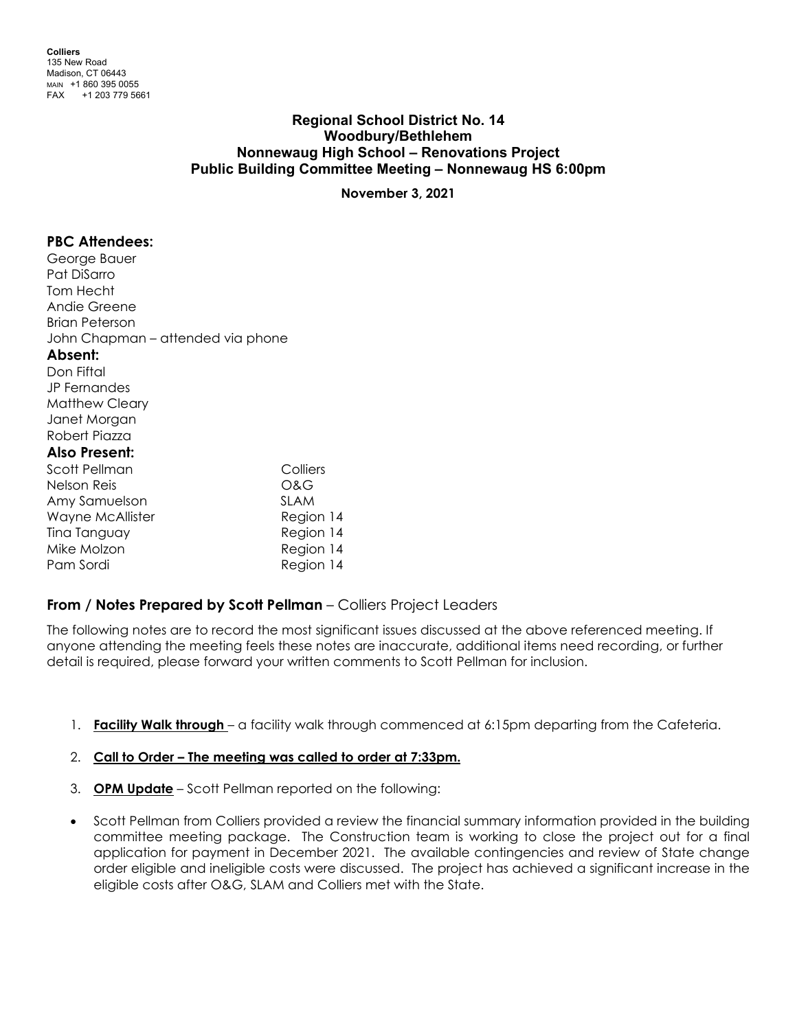# **Regional School District No. 14 Woodbury/Bethlehem Nonnewaug High School – Renovations Project Public Building Committee Meeting – Nonnewaug HS 6:00pm**

**November 3, 2021**

### **PBC Attendees:**

George Bauer Pat DiSarro Tom Hecht Andie Greene Brian Peterson John Chapman – attended via phone **Absent:** Don Fiftal JP Fernandes Matthew Cleary Janet Morgan Robert Piazza **Also Present:** Scott Pellman Colliers Nelson Reis O&G Amy Samuelson SLAM Wayne McAllister **Region 14** Tina Tanguay Region 14 Mike Molzon **Region 14** Pam Sordi Region 14

## **From / Notes Prepared by Scott Pellman** – Colliers Project Leaders

The following notes are to record the most significant issues discussed at the above referenced meeting. If anyone attending the meeting feels these notes are inaccurate, additional items need recording, or further detail is required, please forward your written comments to Scott Pellman for inclusion.

1. **Facility Walk through** – a facility walk through commenced at 6:15pm departing from the Cafeteria.

### 2. **Call to Order – The meeting was called to order at 7:33pm.**

- 3. **OPM Update** Scott Pellman reported on the following:
- Scott Pellman from Colliers provided a review the financial summary information provided in the building committee meeting package. The Construction team is working to close the project out for a final application for payment in December 2021. The available contingencies and review of State change order eligible and ineligible costs were discussed. The project has achieved a significant increase in the eligible costs after O&G, SLAM and Colliers met with the State.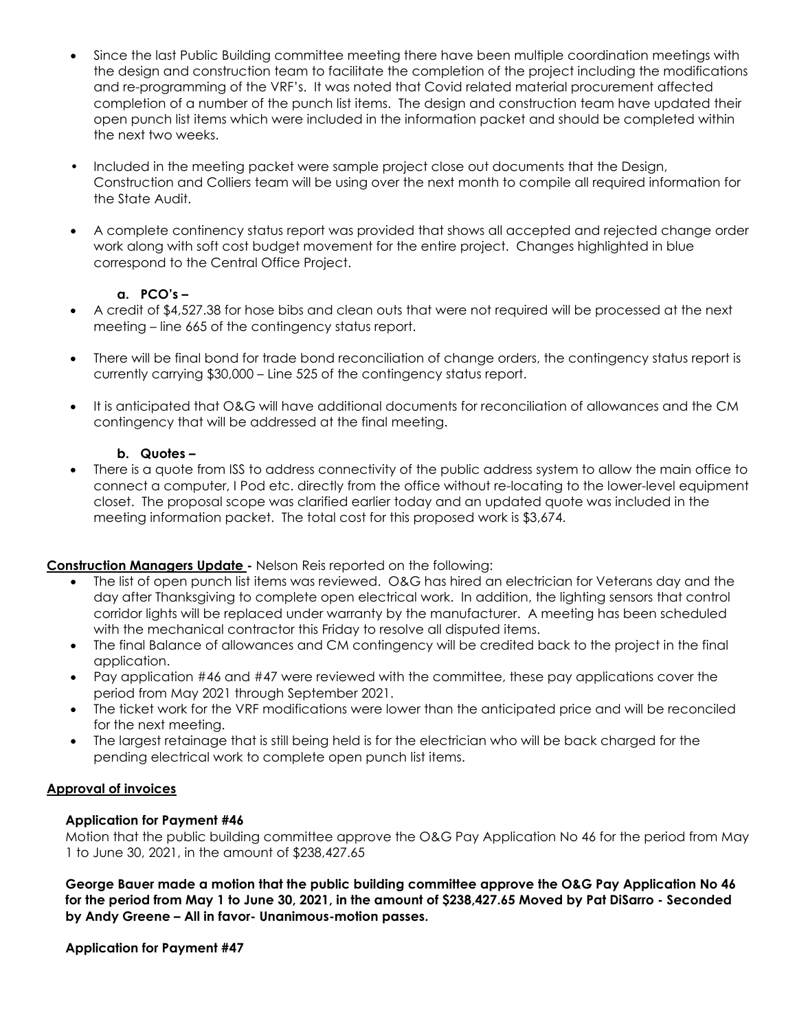- Since the last Public Building committee meeting there have been multiple coordination meetings with the design and construction team to facilitate the completion of the project including the modifications and re-programming of the VRF's. It was noted that Covid related material procurement affected completion of a number of the punch list items. The design and construction team have updated their open punch list items which were included in the information packet and should be completed within the next two weeks.
- Included in the meeting packet were sample project close out documents that the Design, Construction and Colliers team will be using over the next month to compile all required information for the State Audit.
- A complete continency status report was provided that shows all accepted and rejected change order work along with soft cost budget movement for the entire project. Changes highlighted in blue correspond to the Central Office Project.

## **a. PCO's –**

- A credit of \$4,527.38 for hose bibs and clean outs that were not required will be processed at the next meeting – line 665 of the contingency status report.
- There will be final bond for trade bond reconciliation of change orders, the contingency status report is currently carrying \$30,000 – Line 525 of the contingency status report.
- It is anticipated that O&G will have additional documents for reconciliation of allowances and the CM contingency that will be addressed at the final meeting.

### **b. Quotes –**

• There is a quote from ISS to address connectivity of the public address system to allow the main office to connect a computer, I Pod etc. directly from the office without re-locating to the lower-level equipment closet. The proposal scope was clarified earlier today and an updated quote was included in the meeting information packet. The total cost for this proposed work is \$3,674.

## **Construction Managers Update -** Nelson Reis reported on the following:

- The list of open punch list items was reviewed. O&G has hired an electrician for Veterans day and the day after Thanksgiving to complete open electrical work. In addition, the lighting sensors that control corridor lights will be replaced under warranty by the manufacturer. A meeting has been scheduled with the mechanical contractor this Friday to resolve all disputed items.
- The final Balance of allowances and CM contingency will be credited back to the project in the final application.
- Pay application #46 and #47 were reviewed with the committee, these pay applications cover the period from May 2021 through September 2021.
- The ticket work for the VRF modifications were lower than the anticipated price and will be reconciled for the next meeting.
- The largest retainage that is still being held is for the electrician who will be back charged for the pending electrical work to complete open punch list items.

### **Approval of invoices**

### **Application for Payment #46**

Motion that the public building committee approve the O&G Pay Application No 46 for the period from May 1 to June 30, 2021, in the amount of \$238,427.65

**George Bauer made a motion that the public building committee approve the O&G Pay Application No 46 for the period from May 1 to June 30, 2021, in the amount of \$238,427.65 Moved by Pat DiSarro - Seconded by Andy Greene – All in favor- Unanimous-motion passes.** 

### **Application for Payment #47**